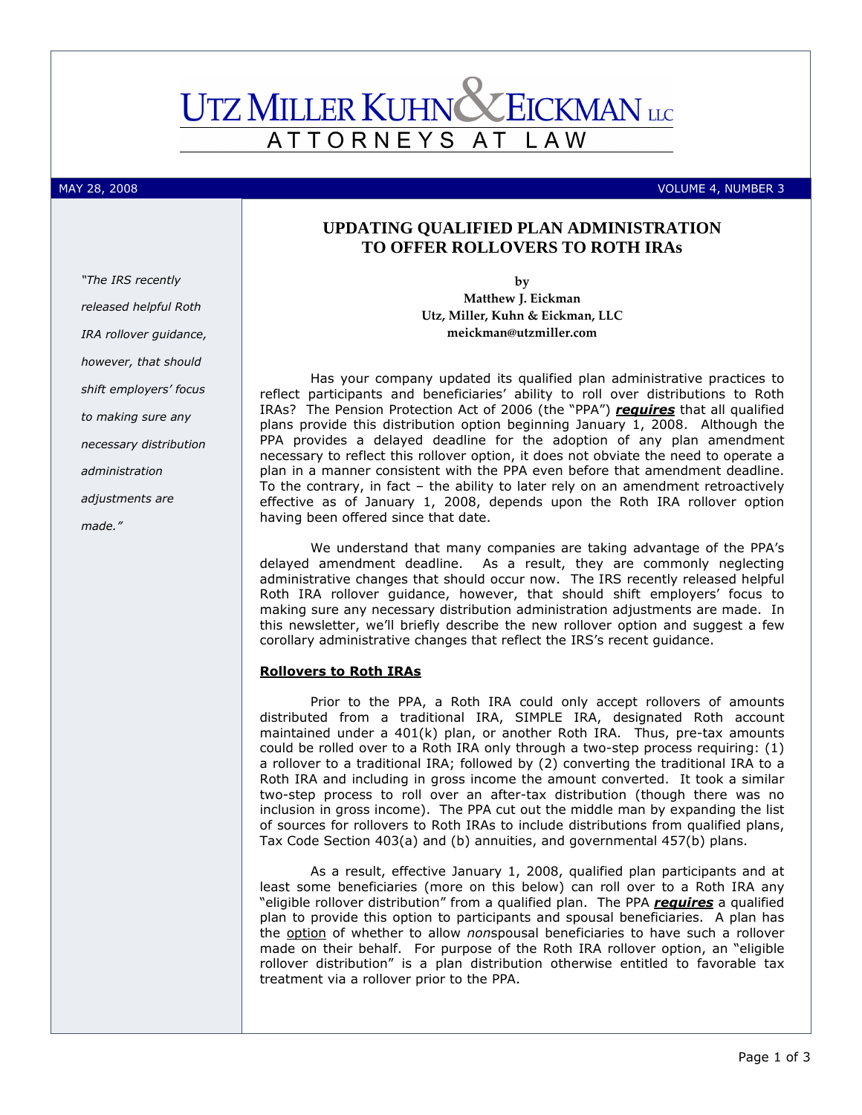## **UTZ MILLER KUHNC ZEICKMAN** LLC ATTORNEYS AT L A W

#### MAY 28, 2008 VOLUME 4, NUMBER 3

# **UPDATING QUALIFIED PLAN ADMINISTRATION TO OFFER ROLLOVERS TO ROTH IRAs**

by Matthew J. Eickman Utz, Miller, Kuhn & Eickman, LLC meickman@utzmiller.com

Has your company updated its qualified plan administrative practices to reflect participants and beneficiaries' ability to roll over distributions to Roth IRAs? The Pension Protection Act of 2006 (the "PPA") requires that all qualified plans provide this distribution option beginning January 1, 2008. Although the PPA provides a delayed deadline for the adoption of any plan amendment necessary to reflect this rollover option, it does not obviate the need to operate a plan in a manner consistent with the PPA even before that amendment deadline. To the contrary, in fact – the ability to later rely on an amendment retroactively effective as of January 1, 2008, depends upon the Roth IRA rollover option having been offered since that date.

We understand that many companies are taking advantage of the PPA's delayed amendment deadline. As a result, they are commonly neglecting administrative changes that should occur now. The IRS recently released helpful Roth IRA rollover guidance, however, that should shift employers' focus to making sure any necessary distribution administration adjustments are made. In this newsletter, we'll briefly describe the new rollover option and suggest a few corollary administrative changes that reflect the IRS's recent guidance.

## Rollovers to Roth IRAs

Prior to the PPA, a Roth IRA could only accept rollovers of amounts distributed from a traditional IRA, SIMPLE IRA, designated Roth account maintained under a 401(k) plan, or another Roth IRA. Thus, pre-tax amounts could be rolled over to a Roth IRA only through a two-step process requiring: (1) a rollover to a traditional IRA; followed by (2) converting the traditional IRA to a Roth IRA and including in gross income the amount converted. It took a similar two-step process to roll over an after-tax distribution (though there was no inclusion in gross income). The PPA cut out the middle man by expanding the list of sources for rollovers to Roth IRAs to include distributions from qualified plans, Tax Code Section 403(a) and (b) annuities, and governmental 457(b) plans.

As a result, effective January 1, 2008, qualified plan participants and at least some beneficiaries (more on this below) can roll over to a Roth IRA any "eligible rollover distribution" from a qualified plan. The PPA requires a qualified plan to provide this option to participants and spousal beneficiaries. A plan has the option of whether to allow nonspousal beneficiaries to have such a rollover made on their behalf. For purpose of the Roth IRA rollover option, an "eligible rollover distribution" is a plan distribution otherwise entitled to favorable tax treatment via a rollover prior to the PPA.

"The IRS recently released helpful Roth IRA rollover guidance, however, that should shift employers' focus to making sure any necessary distribution administration adjustments are made."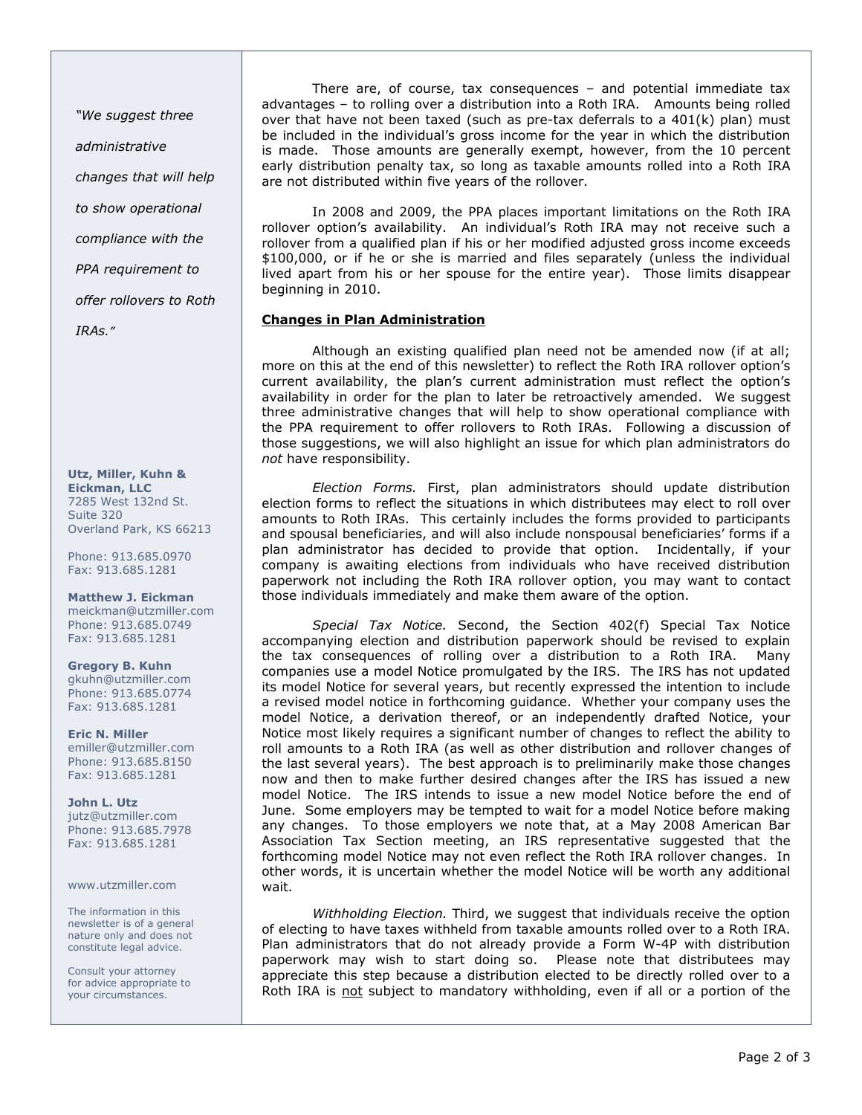"We suggest three administrative changes that will help to show operational compliance with the PPA requirement to offer rollovers to Roth IRAs."

Utz, Miller, Kuhn & Eickman, LLC 7285 West 132nd St. Suite 320 Overland Park, KS 66213

Phone: 913.685.0970 Fax: 913.685.1281

Matthew J. Eickman meickman@utzmiller.com Phone: 913.685.0749 Fax: 913.685.1281

Gregory B. Kuhn gkuhn@utzmiller.com Phone: 913.685.0774 Fax: 913.685.1281

Eric N. Miller emiller@utzmiller.com Phone: 913.685.8150 Fax: 913.685.1281

John L. Utz jutz@utzmiller.com Phone: 913.685.7978 Fax: 913.685.1281

www.utzmiller.com

The information in this newsletter is of a general nature only and does not constitute legal advice.

Consult your attorney for advice appropriate to your circumstances.

There are, of course, tax consequences – and potential immediate tax advantages – to rolling over a distribution into a Roth IRA. Amounts being rolled over that have not been taxed (such as pre-tax deferrals to a  $401(k)$  plan) must be included in the individual's gross income for the year in which the distribution is made. Those amounts are generally exempt, however, from the 10 percent early distribution penalty tax, so long as taxable amounts rolled into a Roth IRA are not distributed within five years of the rollover.

In 2008 and 2009, the PPA places important limitations on the Roth IRA rollover option's availability. An individual's Roth IRA may not receive such a rollover from a qualified plan if his or her modified adjusted gross income exceeds \$100,000, or if he or she is married and files separately (unless the individual lived apart from his or her spouse for the entire year). Those limits disappear beginning in 2010.

## Changes in Plan Administration

Although an existing qualified plan need not be amended now (if at all; more on this at the end of this newsletter) to reflect the Roth IRA rollover option's current availability, the plan's current administration must reflect the option's availability in order for the plan to later be retroactively amended. We suggest three administrative changes that will help to show operational compliance with the PPA requirement to offer rollovers to Roth IRAs. Following a discussion of those suggestions, we will also highlight an issue for which plan administrators do not have responsibility.

Election Forms. First, plan administrators should update distribution election forms to reflect the situations in which distributees may elect to roll over amounts to Roth IRAs. This certainly includes the forms provided to participants and spousal beneficiaries, and will also include nonspousal beneficiaries' forms if a plan administrator has decided to provide that option. Incidentally, if your company is awaiting elections from individuals who have received distribution paperwork not including the Roth IRA rollover option, you may want to contact those individuals immediately and make them aware of the option.

Special Tax Notice. Second, the Section 402(f) Special Tax Notice accompanying election and distribution paperwork should be revised to explain the tax consequences of rolling over a distribution to a Roth IRA. Many companies use a model Notice promulgated by the IRS. The IRS has not updated its model Notice for several years, but recently expressed the intention to include a revised model notice in forthcoming guidance. Whether your company uses the model Notice, a derivation thereof, or an independently drafted Notice, your Notice most likely requires a significant number of changes to reflect the ability to roll amounts to a Roth IRA (as well as other distribution and rollover changes of the last several years). The best approach is to preliminarily make those changes now and then to make further desired changes after the IRS has issued a new model Notice. The IRS intends to issue a new model Notice before the end of June. Some employers may be tempted to wait for a model Notice before making any changes. To those employers we note that, at a May 2008 American Bar Association Tax Section meeting, an IRS representative suggested that the forthcoming model Notice may not even reflect the Roth IRA rollover changes. In other words, it is uncertain whether the model Notice will be worth any additional wait.

Withholding Election. Third, we suggest that individuals receive the option of electing to have taxes withheld from taxable amounts rolled over to a Roth IRA. Plan administrators that do not already provide a Form W-4P with distribution paperwork may wish to start doing so. Please note that distributees may appreciate this step because a distribution elected to be directly rolled over to a Roth IRA is not subject to mandatory withholding, even if all or a portion of the